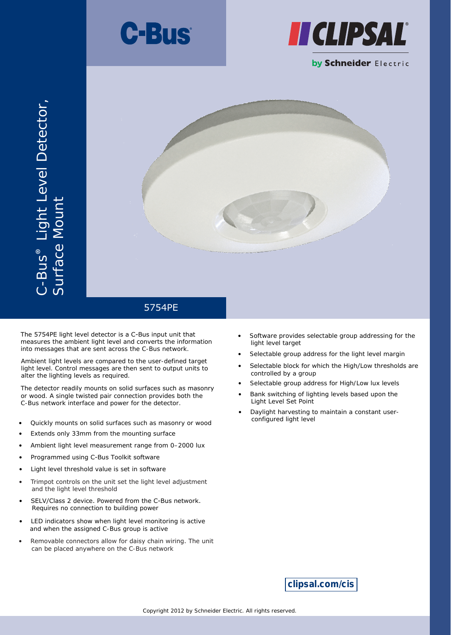





The 5754PE light level detector is a C-Bus input unit that measures the ambient light level and converts the information into messages that are sent across the C-Bus network.

Ambient light levels are compared to the user-defined target light level. Control messages are then sent to output units to alter the lighting levels as required.

The detector readily mounts on solid surfaces such as masonry or wood. A single twisted pair connection provides both the C-Bus network interface and power for the detector.

- Quickly mounts on solid surfaces such as masonry or wood
- Extends only 33mm from the mounting surface
- Ambient light level measurement range from 0–2000 lux
- Programmed using C-Bus Toolkit software
- Light level threshold value is set in software
- Trimpot controls on the unit set the light level adjustment and the light level threshold
- SELV/Class 2 device. Powered from the C-Bus network. Requires no connection to building power
- LED indicators show when light level monitoring is active and when the assigned C-Bus group is active
- Removable connectors allow for daisy chain wiring. The unit can be placed anywhere on the C-Bus network
- Software provides selectable group addressing for the light level target
- Selectable group address for the light level margin
- Selectable block for which the High/Low thresholds are controlled by a group
- Selectable group address for High/Low lux levels
- Bank switching of lighting levels based upon the Light Level Set Point
- Daylight harvesting to maintain a constant user configured light level